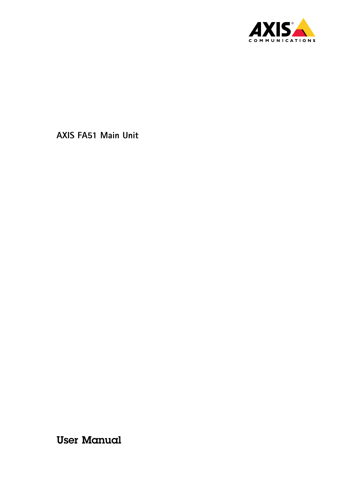

User Manual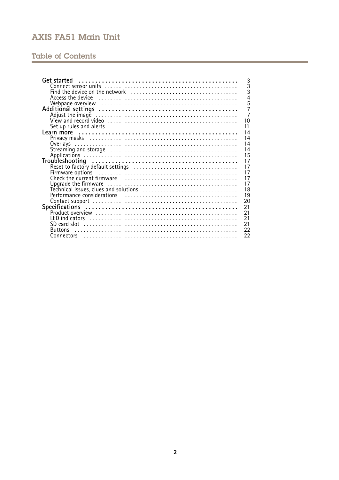## **Table of Contents**

| Get started<br>3                                                                                                        |
|-------------------------------------------------------------------------------------------------------------------------|
| $\overline{3}$                                                                                                          |
| $\overline{3}$                                                                                                          |
| $\overline{4}$                                                                                                          |
|                                                                                                                         |
| $\frac{5}{7}$                                                                                                           |
| 7                                                                                                                       |
| 10                                                                                                                      |
| 11                                                                                                                      |
| 14                                                                                                                      |
| 14                                                                                                                      |
| 14                                                                                                                      |
| 14                                                                                                                      |
| 15                                                                                                                      |
| 17                                                                                                                      |
| 17                                                                                                                      |
| 17                                                                                                                      |
|                                                                                                                         |
| 17                                                                                                                      |
| 17<br>Upgrade the firmware $\ldots \ldots \ldots \ldots \ldots \ldots \ldots \ldots \ldots \ldots \ldots \ldots \ldots$ |
| 18                                                                                                                      |
| 19                                                                                                                      |
| 20                                                                                                                      |
| 21                                                                                                                      |
| 21                                                                                                                      |
| 21                                                                                                                      |
| 21                                                                                                                      |
| 22<br><b>Ruttons</b>                                                                                                    |
| 22                                                                                                                      |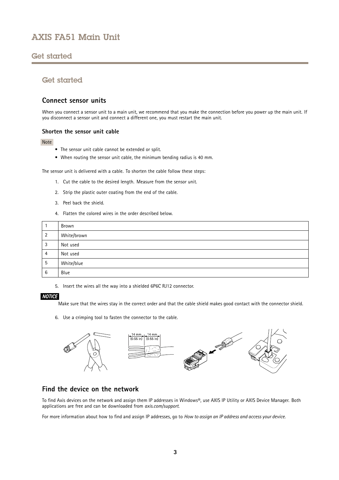## <span id="page-2-0"></span>Get started

## Get started

## **Connect sensor units**

When you connect a sensor unit to a main unit, we recommend that you make the connection before you power up the main unit. If you disconnect <sup>a</sup> sensor unit and connect <sup>a</sup> different one, you must restart the main unit.

### **Shorten the sensor unit cable**

### Note

- The sensor unit cable cannot be extended or split.
- When routing the sensor unit cable, the minimum bending radius is 40 mm.

The sensor unit is delivered with <sup>a</sup> cable. To shorten the cable follow these steps:

- 1. Cut the cable to the desired length. Measure from the sensor unit.
- 2. Strip the plastic outer coating from the end of the cable.
- 3. Peel back the shield.
- 4. Flatten the colored wires in the order described below.

|   | Brown       |
|---|-------------|
|   | White/brown |
| 3 | Not used    |
| 4 | Not used    |
| 5 | White/blue  |
| 6 | Blue        |

5. Insert the wires all the way into <sup>a</sup> shielded 6P6C RJ12 connector.

### *NOTICE*

Make sure that the wires stay in the correct order and that the cable shield makes good contact with the connector shield.

6. Use <sup>a</sup> crimping tool to fasten the connector to the cable.



## **Find the device on the network**

To find Axis devices on the network and assign them IP addresses in Windows®, use AXIS IP Utility or AXIS Device Manager. Both applications are free and can be downloaded from *[axis.com/support](https://www.axis.com/support)*.

For more information about how to find and assign IP addresses, go to *How to [assign](https://www.axis.com/products/online-manual/i90000) an IP address and access your device*.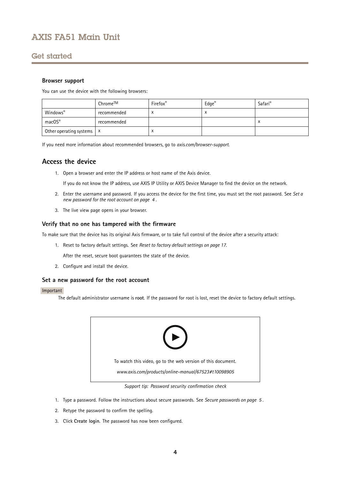## <span id="page-3-0"></span>Get started

### **Browser support**

You can use the device with the following browsers:

|                                      | Chrome™     | Firefox® | $\mathsf{Edge}^\circ$ | Safari® |
|--------------------------------------|-------------|----------|-----------------------|---------|
| Windows®                             | recommended |          | $\lambda$             |         |
| macOS®                               | recommended |          |                       | ́       |
| Other operating systems $\mathsf{X}$ |             | ́        |                       |         |

If you need more information about recommended browsers, go to *[axis.com/browser-support](https://www.axis.com/browser-support)*.

## **Access the device**

1. Open <sup>a</sup> browser and enter the IP address or host name of the Axis device.

If you do not know the IP address, use AXIS IP Utility or AXIS Device Manager to find the device on the network.

- 2. Enter the username and password. If you access the device for the first time, you must set the root password. See *Set <sup>a</sup> new password for the root account on page <sup>4</sup>* .
- 3. The live view page opens in your browser.

### **Verify that no one has tampered with the firmware**

To make sure that the device has its original Axis firmware, or to take full control of the device after <sup>a</sup> security attack:

1. Reset to factory default settings. See *Reset to factory default [settings](#page-16-0) on page [17](#page-16-0)*.

After the reset, secure boot guarantees the state of the device.

2. Configure and install the device.

### **Set <sup>a</sup> new password for the root account**

### Important

The default administrator username is **root**. If the password for root is lost, reset the device to factory default settings.



*Support tip: Password security confirmation check*

- 1. Type <sup>a</sup> password. Follow the instructions about secure passwords. See *Secure [passwords](#page-4-0) on page [5](#page-4-0)* .
- 2. Retype the password to confirm the spelling.
- 3. Click **Create login**. The password has now been configured.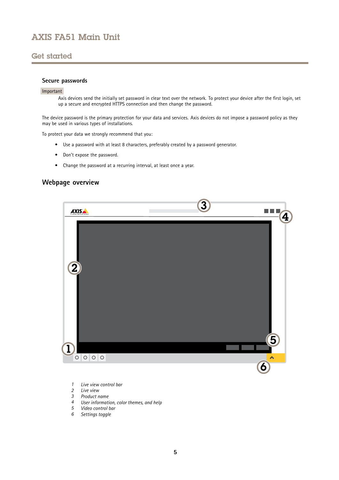## <span id="page-4-0"></span>Get started

### **Secure passwords**

#### Important

Axis devices send the initially set password in clear text over the network. To protect your device after the first login, set up <sup>a</sup> secure and encrypted HTTPS connection and then change the password.

The device password is the primary protection for your data and services. Axis devices do not impose <sup>a</sup> password policy as they may be used in various types of installations.

To protect your data we strongly recommend that you:

- Use <sup>a</sup> password with at least 8 characters, preferably created by <sup>a</sup> password generator.
- Don't expose the password.
- Change the password at <sup>a</sup> recurring interval, at least once <sup>a</sup> year.

## **Webpage overview**



- *1 Live view control bar*
- *2 Live view*
- *3 Product name*
- *<sup>4</sup> User information, color themes, and help*
- *5 Video control bar*
- *6 Settings toggle*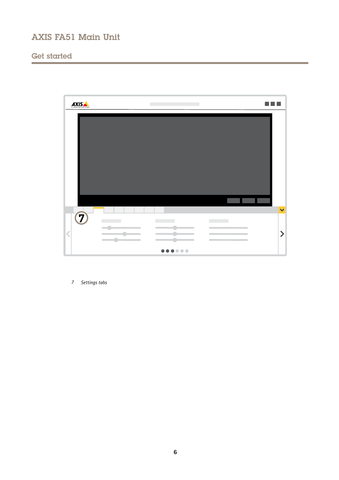# Get started



*7 Settings tabs*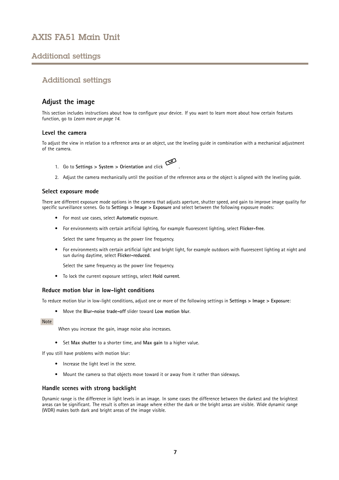## <span id="page-6-0"></span>Additional settings

## Additional settings

## **Adjust the image**

This section includes instructions about how to configure your device. If you want to learn more about how certain features function, go to *[Learn](#page-13-0) more on page [14](#page-13-0)*.

#### **Level the camera**

To adjust the view in relation to <sup>a</sup> reference area or an object, use the leveling guide in combination with <sup>a</sup> mechanical adjustment of the camera.

- 1. Go to **Settings <sup>&</sup>gt; System <sup>&</sup>gt; Orientation** and click .
- 2. Adjust the camera mechanically until the position of the reference area or the object is aligned with the leveling guide.

#### **Select exposure mode**

There are different exposure mode options in the camera that adjusts aperture, shutter speed, and gain to improve image quality for specific surveillance scenes. Go to **Settings <sup>&</sup>gt; Image <sup>&</sup>gt; Exposure** and select between the following exposure modes:

- For most use cases, select **Automatic** exposure.
- For environments with certain artificial lighting, for example fluorescent lighting, select **Flicker-free**.

Select the same frequency as the power line frequency.

• For environments with certain artificial light and bright light, for example outdoors with fluorescent lighting at night and sun during daytime, select **Flicker-reduced**.

Select the same frequency as the power line frequency.

• To lock the current exposure settings, select **Hold current**.

#### **Reduce motion blur in low-light conditions**

To reduce motion blur in low-light conditions, adjust one or more of the following settings in **Settings <sup>&</sup>gt; Image <sup>&</sup>gt; Exposure**:

• Move the **Blur-noise trade-off** slider toward **Low motion blur**.

#### Note

When you increase the gain, image noise also increases.

• Set **Max shutter** to <sup>a</sup> shorter time, and **Max gain** to <sup>a</sup> higher value.

If you still have problems with motion blur:

- Increase the light level in the scene.
- Mount the camera so that objects move toward it or away from it rather than sideways.

#### **Handle scenes with strong backlight**

Dynamic range is the difference in light levels in an image. In some cases the difference between the darkest and the brightest areas can be significant. The result is often an image where either the dark or the bright areas are visible. Wide dynamic range (WDR) makes both dark and bright areas of the image visible.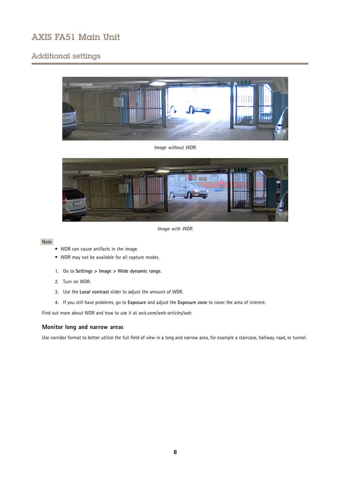## Additional settings



*Image without WDR.*



*Image with WDR.*

### Note

- WDR can cause artifacts in the image.
- WDR may not be available for all capture modes.
- 1. Go to **Settings <sup>&</sup>gt; Image <sup>&</sup>gt; Wide dynamic range**.
- 2. Turn on WDR.
- 3. Use the **Local contrast** slider to adjust the amount of WDR.
- 4. If you still have problems, go to **Exposure** and adjust the **Exposure zone** to cover the area of interest.

Find out more about WDR and how to use it at *[axis.com/web-articles/wdr](https://www.axis.com/sv-se/learning/web-articles/wide-dynamic-range/index)*.

### **Monitor long and narrow areas**

Use corridor format to better utilize the full field of view in <sup>a</sup> long and narrow area, for example <sup>a</sup> staircase, hallway, road, or tunnel.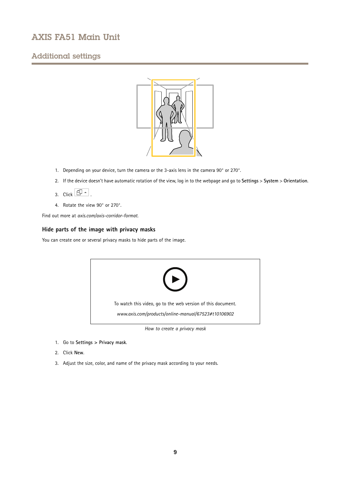## Additional settings



- 1. Depending on your device, turn the camera or the 3-axis lens in the camera 90° or 270°.
- 2. If the device doesn't have automatic rotation of the view, log in to the webpage and go to **Settings** <sup>&</sup>gt; **System** <sup>&</sup>gt; **Orientation**.
- 3. Click  $\boxed{f}$  -
- 4. Rotate the view 90° or 270°.

Find out more at *[axis.com/axis-corridor-format](https://www.axis.com/axis-corridor-format)*.

### **Hide parts of the image with privacy masks**

You can create one or several privacy masks to hide parts of the image.



*How to create <sup>a</sup> privacy mask*

- 1. Go to **Settings <sup>&</sup>gt; Privacy mask**.
- 2. Click **New**.
- 3. Adjust the size, color, and name of the privacy mask according to your needs.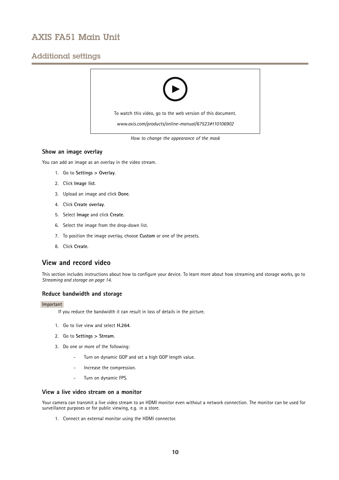## <span id="page-9-0"></span>Additional settings



*How to change the appearance of the mask*

### **Show an image overlay**

You can add an image as an overlay in the video stream.

- 1. Go to **Settings <sup>&</sup>gt; Overlay**.
- 2. Click **Image list**.
- 3. Upload an image and click **Done**.
- 4. Click **Create overlay**.
- 5. Select **Image** and click **Create**.
- 6. Select the image from the drop-down list.
- 7. To position the image overlay, choose **Custom** or one of the presets.
- 8. Click **Create**.

### **View and record video**

This section includes instructions about how to configure your device. To learn more about how streaming and storage works, go to *[Streaming](#page-13-0) and storage on page [14](#page-13-0)*.

#### **Reduce bandwidth and storage**

#### Important

- If you reduce the bandwidth it can result in loss of details in the picture.
- 1. Go to live view and select **H.264**.
- 2. Go to **Settings <sup>&</sup>gt; Stream**.
- 3. Do one or more of the following:
	- Turn on dynamic GOP and set <sup>a</sup> high GOP length value.
	- Increase the compression.
	- Turn on dynamic FPS.

#### **View a live video stream on a monitor**

Your camera can transmit a live video stream to an HDMI monitor even without a network connection. The monitor can be used for surveillance purposes or for public viewing, e.g. in <sup>a</sup> store.

1. Connect an external monitor using the HDMI connector.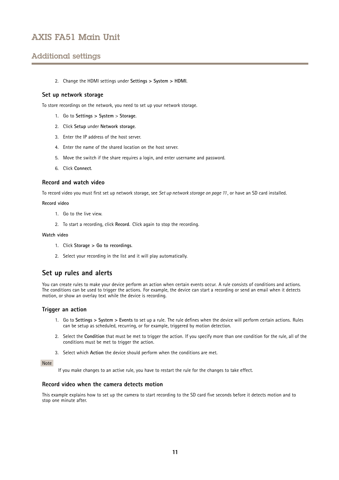## <span id="page-10-0"></span>Additional settings

2. Change the HDMI settings under **Settings <sup>&</sup>gt; System <sup>&</sup>gt; HDMI**.

#### **Set up network storage**

To store recordings on the network, you need to set up your network storage.

- 1. Go to **Settings <sup>&</sup>gt; System** <sup>&</sup>gt; **Storage**.
- 2. Click **Setup** under **Network storage**.
- 3. Enter the IP address of the host server.
- 4. Enter the name of the shared location on the host server.
- 5. Move the switch if the share requires <sup>a</sup> login, and enter username and password.
- 6. Click **Connect**.

#### **Record and watch video**

To record video you must first set up network storage, see *Set up network storage on page 11*, or have an SD card installed.

#### **Record video**

- 1. Go to the live view.
- 2. To start <sup>a</sup> recording, click **Record**. Click again to stop the recording.

#### **Watch video**

- 1. Click **Storage <sup>&</sup>gt; Go to recordings**.
- 2. Select your recording in the list and it will play automatically.

## **Set up rules and alerts**

You can create rules to make your device perform an action when certain events occur. A rule consists of conditions and actions. The conditions can be used to trigger the actions. For example, the device can start <sup>a</sup> recording or send an email when it detects motion, or show an overlay text while the device is recording.

#### **Trigger an action**

- 1. Go to **Settings <sup>&</sup>gt; System <sup>&</sup>gt; Events** to set up <sup>a</sup> rule. The rule defines when the device will perform certain actions. Rules can be setup as scheduled, recurring, or for example, triggered by motion detection.
- 2. Select the **Condition** that must be met to trigger the action. If you specify more than one condition for the rule, all of the conditions must be met to trigger the action.
- 3. Select which **Action** the device should perform when the conditions are met.

#### Note

If you make changes to an active rule, you have to restart the rule for the changes to take effect.

### **Record video when the camera detects motion**

This example explains how to set up the camera to start recording to the SD card five seconds before it detects motion and to stop one minute after.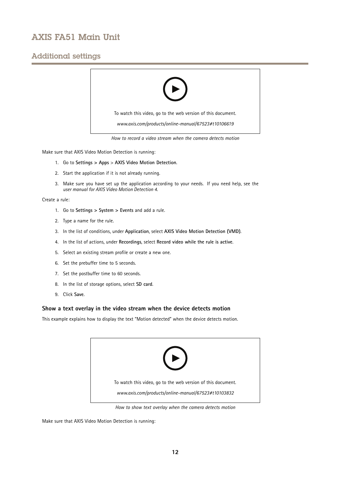## Additional settings



*How to record a video stream when the camera detects motion*

Make sure that AXIS Video Motion Detection is running:

- 1. Go to **Settings <sup>&</sup>gt; Apps** <sup>&</sup>gt; **AXIS Video Motion Detection**.
- 2. Start the application if it is not already running.
- 3. Make sure you have set up the application according to your needs. If you need help, see the *user manual for AXIS Video Motion [Detection](https://www.axis.com/products/online-manual/44110) 4*.

Create <sup>a</sup> rule:

- 1. Go to **Settings <sup>&</sup>gt; System <sup>&</sup>gt; Events** and add <sup>a</sup> rule.
- 2. Type <sup>a</sup> name for the rule.
- 3. In the list of conditions, under **Application**, select **AXIS Video Motion Detection (VMD)**.
- 4. In the list of actions, under **Recordings**, select **Record video while the rule is active**.
- 5. Select an existing stream profile or create <sup>a</sup> new one.
- 6. Set the prebuffer time to 5 seconds.
- 7. Set the postbuffer time to 60 seconds.
- 8. In the list of storage options, select **SD card**.
- 9. Click **Save**.

### **Show <sup>a</sup> text overlay in the video stream when the device detects motion**

This example explains how to display the text "Motion detected" when the device detects motion.



*How to show text overlay when the camera detects motion*

Make sure that AXIS Video Motion Detection is running: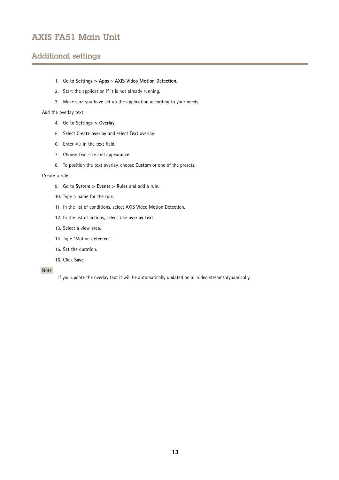## Additional settings

- 1. Go to **Settings <sup>&</sup>gt; Apps** <sup>&</sup>gt; **AXIS Video Motion Detection**.
- 2. Start the application if it is not already running.
- 3. Make sure you have set up the application according to your needs.

Add the overlay text:

- 4. Go to **Settings <sup>&</sup>gt; Overlay**.
- 5. Select **Create overlay** and select **Text** overlay.
- 6. Enter #D in the text field.
- 7. Choose text size and appearance.
- 8. To position the text overlay, choose **Custom** or one of the presets.

#### Create <sup>a</sup> rule:

- 9. Go to **System <sup>&</sup>gt; Events <sup>&</sup>gt; Rules** and add <sup>a</sup> rule.
- 10. Type <sup>a</sup> name for the rule.
- 11. In the list of conditions, select AXIS Video Motion Detection.
- 12. In the list of actions, select **Use overlay text**.
- 13. Select <sup>a</sup> view area.
- 14. Type "Motion detected".
- 15. Set the duration.
- 16. Click **Save**.

#### Note

If you update the overlay text it will be automatically updated on all video streams dynamically.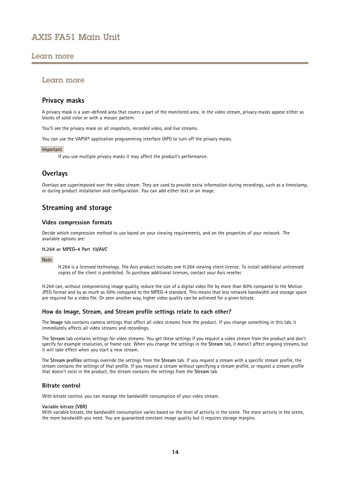## <span id="page-13-0"></span>Learn more

## Learn more

## **Privacy masks**

A privacy mask is <sup>a</sup> user-defined area that covers <sup>a</sup> part of the monitored area. In the video stream, privacy masks appear either as blocks of solid color or with <sup>a</sup> mosaic pattern.

You'll see the privacy mask on all snapshots, recorded video, and live streams.

You can use the VAPIX<sup>®</sup> application programming interface (API) to turn off the privacy masks.

#### Important

If you use multiple privacy masks it may affect the product's performance.

## **Overlays**

Overlays are superimposed over the video stream. They are used to provide extra information during recordings, such as <sup>a</sup> timestamp, or during product installation and configuration. You can add either text or an image.

## **Streaming and storage**

#### **Video compression formats**

Decide which compression method to use based on your viewing requirements, and on the properties of your network. The available options are:

#### **H.264 or MPEG-4 Part 10/AVC**

Note

H.264 is <sup>a</sup> licensed technology. The Axis product includes one H.264 viewing client license. To install additional unlicensed copies of the client is prohibited. To purchase additional licenses, contact your Axis reseller.

H.264 can, without compromising image quality, reduce the size of <sup>a</sup> digital video file by more than 80% compared to the Motion JPEG format and by as much as 50% compared to the MPEG-4 standard. This means that less network bandwidth and storage space are required for <sup>a</sup> video file. Or seen another way, higher video quality can be achieved for <sup>a</sup> given bitrate.

### **How do Image, Stream, and Stream profile settings relate to each other?**

The **Image** tab contains camera settings that affect all video streams from the product. If you change something in this tab, it immediately affects all video streams and recordings.

The **Stream** tab contains settings for video streams. You get these settings if you request <sup>a</sup> video stream from the product and don't specify for example resolution, or frame rate. When you change the settings in the **Stream** tab, it doesn't affect ongoing streams, but it will take effect when you start <sup>a</sup> new stream.

The **Stream profiles** settings override the settings from the **Stream** tab. If you request <sup>a</sup> stream with <sup>a</sup> specific stream profile, the stream contains the settings of that profile. If you request <sup>a</sup> stream without specifying <sup>a</sup> stream profile, or request <sup>a</sup> stream profile that doesn't exist in the product, the stream contains the settings from the **Stream** tab.

### **Bitrate control**

With bitrate control, you can manage the bandwidth consumption of your video stream.

#### **Variable bitrate (VBR)**

With variable bitrate, the bandwidth consumption varies based on the level of activity in the scene. The more activity in the scene, the more bandwidth you need. You are guaranteed constant image quality but it requires storage margins.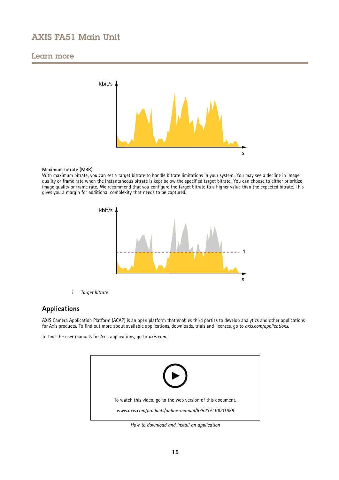## <span id="page-14-0"></span>Learn more



#### **Maximum bitrate (MBR)**

With maximum bitrate, you can set <sup>a</sup> target bitrate to handle bitrate limitations in your system. You may see <sup>a</sup> decline in image quality or frame rate when the instantaneous bitrate is kept below the specified target bitrate. You can choose to either prioritize image quality or frame rate. We recommend that you configure the target bitrate to <sup>a</sup> higher value than the expected bitrate. This gives you <sup>a</sup> margin for additional complexity that needs to be captured.



*1 Target bitrate*

## **Applications**

AXIS Camera Application Platform (ACAP) is an open platform that enables third parties to develop analytics and other applications for Axis products. To find out more about available applications, downloads, trials and licenses, go to *[axis.com/applications](https://www.axis.com/applications)*.

To find the user manuals for Axis applications, go to *[axis.com](https://www.axis.com)*.



*How to download and install an application*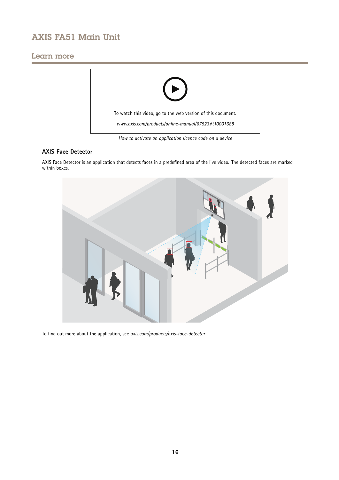## Learn more



*How to activate an application licence code on <sup>a</sup> device*

### **AXIS Face Detector**

AXIS Face Detector is an application that detects faces in <sup>a</sup> predefined area of the live video. The detected faces are marked within boxes.



To find out more about the application, see *[axis.com/products/axis-face-detector](https://www.axis.com/products/axis-face-detector)*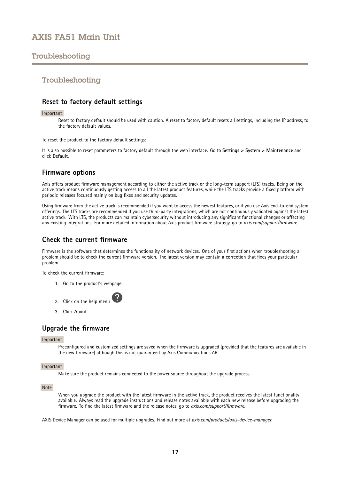## <span id="page-16-0"></span>Troubleshooting

## Troubleshooting

## **Reset to factory default settings**

#### Important

Reset to factory default should be used with caution. A reset to factory default resets all settings, including the IP address, to the factory default values.

To reset the product to the factory default settings:

It is also possible to reset parameters to factory default through the web interface. Go to **Settings <sup>&</sup>gt; System <sup>&</sup>gt; Maintenance** and click **Default**.

## **Firmware options**

Axis offers product firmware management according to either the active track or the long-term support (LTS) tracks. Being on the active track means continuously getting access to all the latest product features, while the LTS tracks provide a fixed platform with periodic releases focused mainly on bug fixes and security updates.

Using firmware from the active track is recommended if you want to access the newest features, or if you use Axis end-to-end system offerings. The LTS tracks are recommended if you use third-party integrations, which are not continuously validated against the latest active track. With LTS, the products can maintain cybersecurity without introducing any significant functional changes or affecting any existing integrations. For more detailed information about Axis product firmware strategy, go to *[axis.com/support/firmware](https://www.axis.com/support/firmware)*.

## **Check the current firmware**

Firmware is the software that determines the functionality of network devices. One of your first actions when troubleshooting <sup>a</sup> problem should be to check the current firmware version. The latest version may contain <sup>a</sup> correction that fixes your particular problem.

To check the current firmware:

- 1. Go to the product's webpage.
- 2. Click on the help menu
- 3. Click **About**.

## **Upgrade the firmware**

#### Important

Preconfigured and customized settings are saved when the firmware is upgraded (provided that the features are available in the new firmware) although this is not guaranteed by Axis Communications AB.

#### Important

Make sure the product remains connected to the power source throughout the upgrade process.

#### Note

When you upgrade the product with the latest firmware in the active track, the product receives the latest functionality available. Always read the upgrade instructions and release notes available with each new release before upgrading the firmware. To find the latest firmware and the release notes, go to *[axis.com/support/firmware](https://www.axis.com/support/firmware)*.

AXIS Device Manager can be used for multiple upgrades. Find out more at *[axis.com/products/axis-device-manager](https://www.axis.com/products/axis-device-manager)*.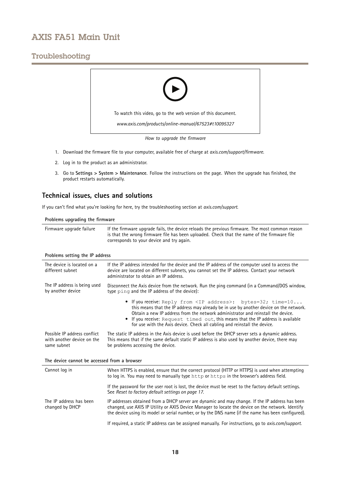## <span id="page-17-0"></span>Troubleshooting



- 1. Download the firmware file to your computer, available free of charge at *[axis.com/support/firmware](https://www.axis.com/support/firmware)*.
- 2. Log in to the product as an administrator.
- 3. Go to **Settings <sup>&</sup>gt; System <sup>&</sup>gt; Maintenance**. Follow the instructions on the page. When the upgrade has finished, the product restarts automatically.

## **Technical issues, clues and solutions**

If you can't find what you're looking for here, try the troubleshooting section at *[axis.com/support](https://www.axis.com/support)*.

**Problems upgrading the firmware**

Firmware upgrade failure If the firmware upgrade fails, the device reloads the previous firmware. The most common reason is that the wrong firmware file has been uploaded. Check that the name of the firmware file corresponds to your device and try again.

#### **Problems setting the IP address**

| The device is located on a<br>different subnet                            | If the IP address intended for the device and the IP address of the computer used to access the<br>device are located on different subnets, you cannot set the IP address. Contact your network<br>administrator to obtain an IP address.                                                                                                                                                                             |  |  |
|---------------------------------------------------------------------------|-----------------------------------------------------------------------------------------------------------------------------------------------------------------------------------------------------------------------------------------------------------------------------------------------------------------------------------------------------------------------------------------------------------------------|--|--|
| The IP address is being used<br>by another device                         | Disconnect the Axis device from the network. Run the ping command (in a Command/DOS window,<br>type ping and the IP address of the device):                                                                                                                                                                                                                                                                           |  |  |
|                                                                           | • If you receive: Reply from <ip address="">: bytes=32; time=10<br/>this means that the IP address may already be in use by another device on the network.<br/>Obtain a new IP address from the network administrator and reinstall the device.<br/>If you receive: Request timed out, this means that the IP address is available<br/>for use with the Axis device. Check all cabling and reinstall the device.</ip> |  |  |
| Possible IP address conflict<br>with another device on the<br>same subnet | The static IP address in the Axis device is used before the DHCP server sets a dynamic address.<br>This means that if the same default static IP address is also used by another device, there may<br>be problems accessing the device.                                                                                                                                                                               |  |  |
| The device cannot be accessed from a browser                              |                                                                                                                                                                                                                                                                                                                                                                                                                       |  |  |
| Cannot log in                                                             | When HTTPS is enabled, ensure that the correct protocol (HTTP or HTTPS) is used when attempting<br>to log in. You may need to manually type http or https in the browser's address field.                                                                                                                                                                                                                             |  |  |
|                                                                           | If the password for the user root is lost, the device must be reset to the factory default settings.<br>See Reset to factory default settings on page 17.                                                                                                                                                                                                                                                             |  |  |
| The IP address has been<br>changed by DHCP                                | IP addresses obtained from a DHCP server are dynamic and may change. If the IP address has been<br>changed, use AXIS IP Utility or AXIS Device Manager to locate the device on the network. Identify<br>the device using its model or serial number, or by the DNS name (if the name has been configured).                                                                                                            |  |  |
|                                                                           | If required, a static IP address can be assigned manually. For instructions, go to axis.com/support.                                                                                                                                                                                                                                                                                                                  |  |  |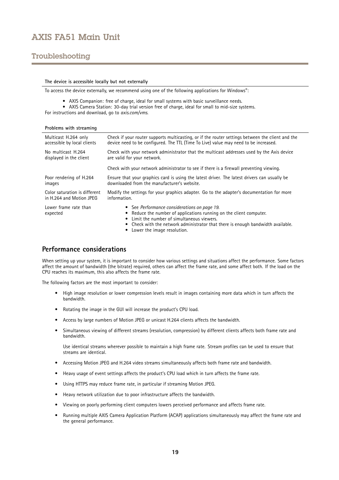## <span id="page-18-0"></span>Troubleshooting

#### **The device is accessible locally but not externally**

To access the device externally, we recommend using one of the following applications for Windows® :

- AXIS Companion: free of charge, ideal for small systems with basic surveillance needs.
- AXIS Camera Station: 30-day trial version free of charge, ideal for small to mid-size systems.

For instructions and download, go to *[axis.com/vms](https://www.axis.com/vms)*.

| Problems with streaming           |                                                                                                                                                                                                                                                                                       |  |  |
|-----------------------------------|---------------------------------------------------------------------------------------------------------------------------------------------------------------------------------------------------------------------------------------------------------------------------------------|--|--|
| Multicast H.264 only              | Check if your router supports multicasting, or if the router settings between the client and the                                                                                                                                                                                      |  |  |
| accessible by local clients       | device need to be configured. The TTL (Time To Live) value may need to be increased.                                                                                                                                                                                                  |  |  |
| No multicast H.264                | Check with your network administrator that the multicast addresses used by the Axis device                                                                                                                                                                                            |  |  |
| displayed in the client           | are valid for your network.                                                                                                                                                                                                                                                           |  |  |
|                                   | Check with your network administrator to see if there is a firewall preventing viewing.                                                                                                                                                                                               |  |  |
| Poor rendering of H.264           | Ensure that your graphics card is using the latest driver. The latest drivers can usually be                                                                                                                                                                                          |  |  |
| images                            | downloaded from the manufacturer's website.                                                                                                                                                                                                                                           |  |  |
| Color saturation is different     | Modify the settings for your graphics adapter. Go to the adapter's documentation for more                                                                                                                                                                                             |  |  |
| in H.264 and Motion JPEG          | information.                                                                                                                                                                                                                                                                          |  |  |
| Lower frame rate than<br>expected | • See Performance considerations on page 19.<br>Reduce the number of applications running on the client computer.<br>• Limit the number of simultaneous viewers.<br>• Check with the network administrator that there is enough bandwidth available.<br>• Lower the image resolution. |  |  |

## **Performance considerations**

When setting up your system, it is important to consider how various settings and situations affect the performance. Some factors affect the amount of bandwidth (the bitrate) required, others can affect the frame rate, and some affect both. If the load on the CPU reaches its maximum, this also affects the frame rate.

The following factors are the most important to consider:

- • High image resolution or lower compression levels result in images containing more data which in turn affects the bandwidth.
- Rotating the image in the GUI will increase the product's CPU load.
- Access by large numbers of Motion JPEG or unicast H.264 clients affects the bandwidth.
- • Simultaneous viewing of different streams (resolution, compression) by different clients affects both frame rate and bandwidth.

Use identical streams wherever possible to maintain <sup>a</sup> high frame rate. Stream profiles can be used to ensure that streams are identical.

- Accessing Motion JPEG and H.264 video streams simultaneously affects both frame rate and bandwidth.
- Heavy usage of event settings affects the product's CPU load which in turn affects the frame rate.
- •Using HTTPS may reduce frame rate, in particular if streaming Motion JPEG.
- Heavy network utilization due to poor infrastructure affects the bandwidth.
- •Viewing on poorly performing client computers lowers perceived performance and affects frame rate.
- • Running multiple AXIS Camera Application Platform (ACAP) applications simultaneously may affect the frame rate and the general performance.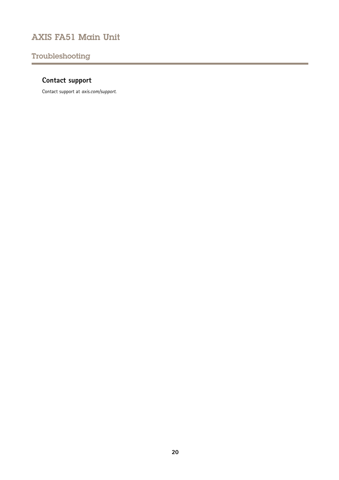## <span id="page-19-0"></span>Troubleshooting

# **Contact support**

Contact support at *[axis.com/support](https://www.axis.com/support)*.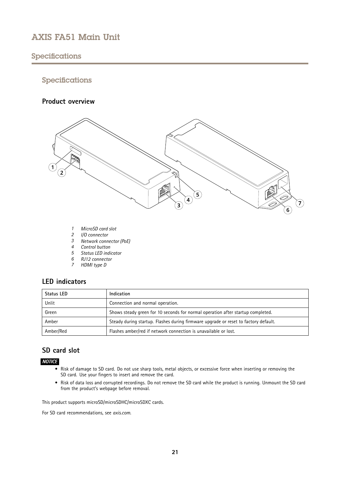## <span id="page-20-0"></span>Specifications

## Specifications

## **Product overview**



- *1 MicroSD card slot*
- *2 I/O connector*
- *3 Network connector (PoE)*
- *4 Control button*
- *5 Status LED indicator*
- *6 RJ12 connector*
- *<sup>7</sup> HDMI type D*

## **LED indicators**

| <b>Status LED</b> | Indication                                                                          |
|-------------------|-------------------------------------------------------------------------------------|
| Unlit             | Connection and normal operation.                                                    |
| Green             | Shows steady green for 10 seconds for normal operation after startup completed.     |
| Amber             | Steady during startup. Flashes during firmware upgrade or reset to factory default. |
| Amber/Red         | Flashes amber/red if network connection is unavailable or lost.                     |

## **SD card slot**

## *NOTICE*

- Risk of damage to SD card. Do not use sharp tools, metal objects, or excessive force when inserting or removing the SD card. Use your fingers to insert and remove the card.
- Risk of data loss and corrupted recordings. Do not remove the SD card while the product is running. Unmount the SD card from the product's webpage before removal.

This product supports microSD/microSDHC/microSDXC cards.

For SD card recommendations, see *[axis.com](https://www.axis.com)*.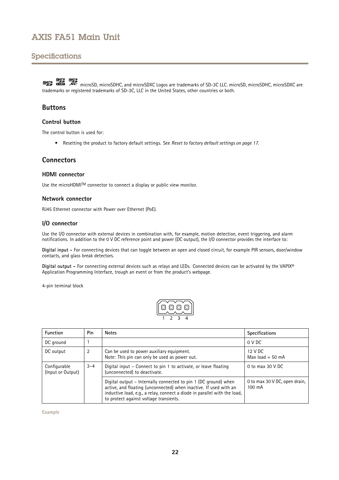## <span id="page-21-0"></span>Specifications

microSD, microSDHC, and microSDXC Logos are trademarks of SD-3C LLC. microSD, microSDHC, microSDXC are trademarks or registered trademarks of SD-3C, LLC in the United States, other countries or both.

## **Buttons**

### **Control button**

The control button is used for:

• Resetting the product to factory default settings. See *Reset to factory default [settings](#page-16-0) on page [17](#page-16-0)*.

## **Connectors**

### **HDMI connector**

Use the microHDMIIM connector to connect a display or public view monitor.

### **Network connector**

RJ45 Ethernet connector with Power over Ethernet (PoE).

### **I/O connector**

Use the I/O connector with external devices in combination with, for example, motion detection, event triggering, and alarm notifications. In addition to the <sup>0</sup> V DC reference point and power (DC output), the I/O connector provides the interface to:

**Digital input -** For connecting devices that can toggle between an open and closed circuit, for example PIR sensors, door/window contacts, and glass break detectors.

**Digital output -** For connecting external devices such as relays and LEDs. Connected devices can be activated by the VAPIX® Application Programming Interface, trough an event or from the product's webpage.

4-pin terminal block



| <b>Function</b>                                                                                              | Pin | <b>Notes</b>                                                                                                                                                                                                                                                | <b>Specifications</b>                             |
|--------------------------------------------------------------------------------------------------------------|-----|-------------------------------------------------------------------------------------------------------------------------------------------------------------------------------------------------------------------------------------------------------------|---------------------------------------------------|
| DC ground                                                                                                    |     |                                                                                                                                                                                                                                                             | 0 V DC                                            |
| 2<br>Can be used to power auxiliary equipment.<br>DC output<br>Note: This pin can only be used as power out. |     |                                                                                                                                                                                                                                                             | 12 V DC<br>Max $load = 50$ mA                     |
| Configurable<br>$3 - 4$<br>(unconnected) to deactivate.<br>(Input or Output)                                 |     | Digital input – Connect to pin 1 to activate, or leave floating                                                                                                                                                                                             | 0 to max $30$ V DC                                |
|                                                                                                              |     | Digital output - Internally connected to pin 1 (DC ground) when<br>active, and floating (unconnected) when inactive. If used with an<br>inductive load, e.g., a relay, connect a diode in parallel with the load,<br>to protect against voltage transients. | 0 to max 30 V DC, open drain,<br>$100 \text{ mA}$ |

**Example**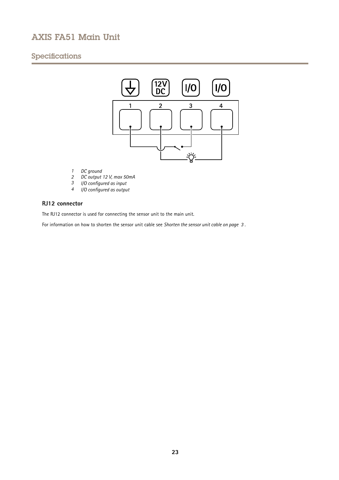# Specifications



- *1 DC ground*
- *2 DC output 12 V, max 50mA*
- *<sup>3</sup> I/O configured as input*
- *<sup>4</sup> I/O configured as output*

## **RJ12 connector**

The RJ12 connector is used for connecting the sensor unit to the main unit.

For information on how to shorten the sensor unit cable see *[Shorten](#page-2-0) the sensor unit cable on page [3](#page-2-0)* .